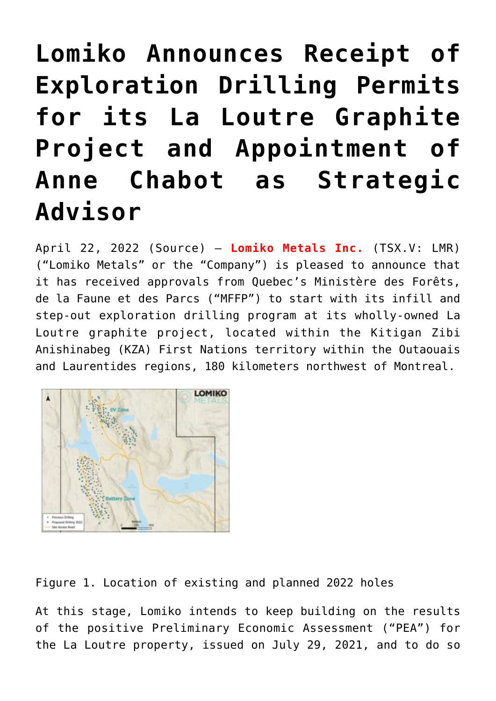## **[Lomiko Announces Receipt of](https://investorintel.com/markets/technology-metals/technology-metals-news/lomiko-announces-receipt-of-exploration-drilling-permits-for-its-la-loutre-graphite-project-and-appointment-of-anne-chabot-as-strategic-advisor/) [Exploration Drilling Permits](https://investorintel.com/markets/technology-metals/technology-metals-news/lomiko-announces-receipt-of-exploration-drilling-permits-for-its-la-loutre-graphite-project-and-appointment-of-anne-chabot-as-strategic-advisor/) [for its La Loutre Graphite](https://investorintel.com/markets/technology-metals/technology-metals-news/lomiko-announces-receipt-of-exploration-drilling-permits-for-its-la-loutre-graphite-project-and-appointment-of-anne-chabot-as-strategic-advisor/) [Project and Appointment of](https://investorintel.com/markets/technology-metals/technology-metals-news/lomiko-announces-receipt-of-exploration-drilling-permits-for-its-la-loutre-graphite-project-and-appointment-of-anne-chabot-as-strategic-advisor/) [Anne Chabot as Strategic](https://investorintel.com/markets/technology-metals/technology-metals-news/lomiko-announces-receipt-of-exploration-drilling-permits-for-its-la-loutre-graphite-project-and-appointment-of-anne-chabot-as-strategic-advisor/) [Advisor](https://investorintel.com/markets/technology-metals/technology-metals-news/lomiko-announces-receipt-of-exploration-drilling-permits-for-its-la-loutre-graphite-project-and-appointment-of-anne-chabot-as-strategic-advisor/)**

April 22, 2022 ([Source\)](https://www.businesswire.com/news/home/20220422005152/en/) – **Lomiko Metals Inc.** (TSX.V: LMR) ("Lomiko Metals" or the "Company") is pleased to announce that it has received approvals from Quebec's Ministère des Forêts, de la Faune et des Parcs ("MFFP") to start with its infill and step-out exploration drilling program at its wholly-owned La Loutre graphite project, located within the Kitigan Zibi Anishinabeg (KZA) First Nations territory within the Outaouais and Laurentides regions, 180 kilometers northwest of Montreal.



Figure 1. Location of existing and planned 2022 holes

At this stage, Lomiko intends to keep building on the results of the positive Preliminary Economic Assessment ("PEA") for the La Loutre property, issued on July 29, 2021, and to do so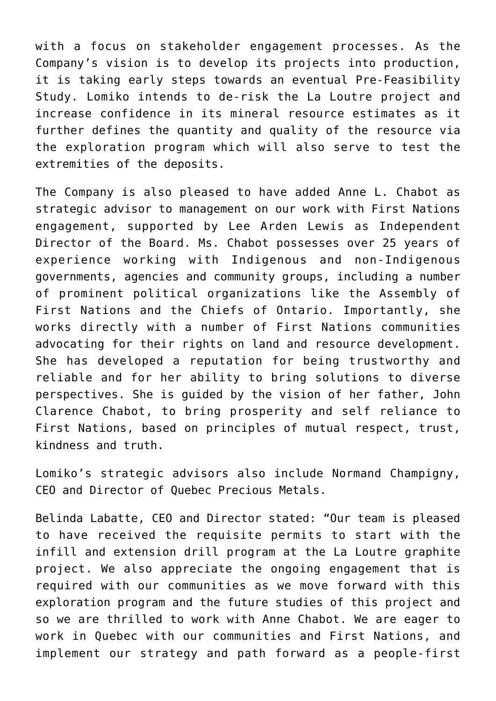with a focus on stakeholder engagement processes. As the Company's vision is to develop its projects into production, it is taking early steps towards an eventual Pre-Feasibility Study. Lomiko intends to de-risk the La Loutre project and increase confidence in its mineral resource estimates as it further defines the quantity and quality of the resource via the exploration program which will also serve to test the extremities of the deposits.

The Company is also pleased to have added Anne L. Chabot as strategic advisor to management on our work with First Nations engagement, supported by Lee Arden Lewis as Independent Director of the Board. Ms. Chabot possesses over 25 years of experience working with Indigenous and non-Indigenous governments, agencies and community groups, including a number of prominent political organizations like the Assembly of First Nations and the Chiefs of Ontario. Importantly, she works directly with a number of First Nations communities advocating for their rights on land and resource development. She has developed a reputation for being trustworthy and reliable and for her ability to bring solutions to diverse perspectives. She is guided by the vision of her father, John Clarence Chabot, to bring prosperity and self reliance to First Nations, based on principles of mutual respect, trust, kindness and truth.

Lomiko's strategic advisors also include Normand Champigny, CEO and Director of Quebec Precious Metals.

Belinda Labatte, CEO and Director stated: "Our team is pleased to have received the requisite permits to start with the infill and extension drill program at the La Loutre graphite project. We also appreciate the ongoing engagement that is required with our communities as we move forward with this exploration program and the future studies of this project and so we are thrilled to work with Anne Chabot. We are eager to work in Quebec with our communities and First Nations, and implement our strategy and path forward as a people-first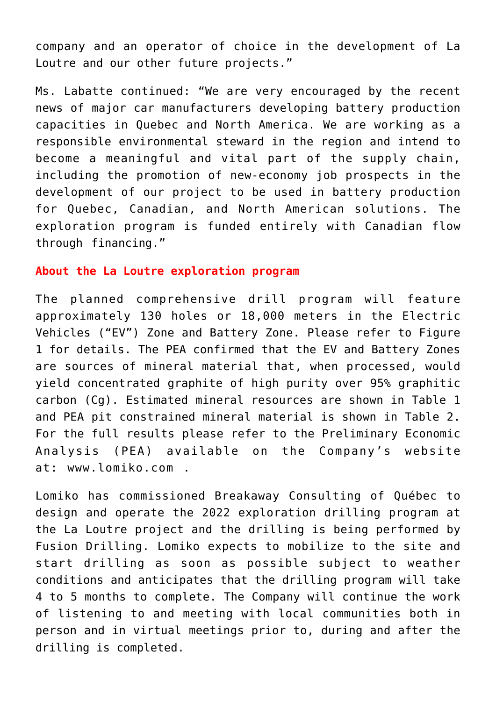company and an operator of choice in the development of La Loutre and our other future projects."

Ms. Labatte continued: "We are very encouraged by the recent news of major car manufacturers developing battery production capacities in Quebec and North America. We are working as a responsible environmental steward in the region and intend to become a meaningful and vital part of the supply chain, including the promotion of new-economy job prospects in the development of our project to be used in battery production for Quebec, Canadian, and North American solutions. The exploration program is funded entirely with Canadian flow through financing."

## **About the La Loutre exploration program**

The planned comprehensive drill program will feature approximately 130 holes or 18,000 meters in the Electric Vehicles ("EV") Zone and Battery Zone. Please refer to Figure 1 for details. The PEA confirmed that the EV and Battery Zones are sources of mineral material that, when processed, would yield concentrated graphite of high purity over 95% graphitic carbon (Cg). Estimated mineral resources are shown in Table 1 and PEA pit constrained mineral material is shown in Table 2. For the full results please refer to the Preliminary Economic Analysis (PEA) available on the Company's website at: [www.lomiko.com .](https://cts.businesswire.com/ct/CT?id=smartlink&url=http%3A%2F%2Fwww.lomiko.com&esheet=52693924&newsitemid=20220422005152&lan=en-US&anchor=www.lomiko.com&index=1&md5=68dd729ced06bca4f2f562cfceb7a39f)

Lomiko has commissioned Breakaway Consulting of Québec to design and operate the 2022 exploration drilling program at the La Loutre project and the drilling is being performed by Fusion Drilling. Lomiko expects to mobilize to the site and start drilling as soon as possible subject to weather conditions and anticipates that the drilling program will take 4 to 5 months to complete. The Company will continue the work of listening to and meeting with local communities both in person and in virtual meetings prior to, during and after the drilling is completed.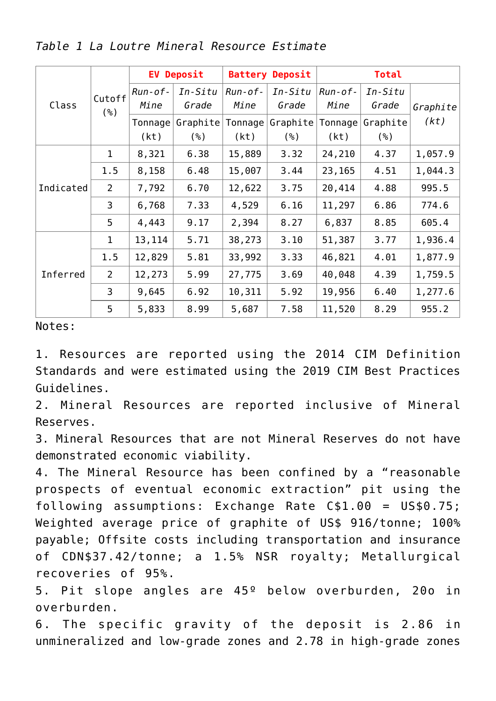*Table 1 La Loutre Mineral Resource Estimate*

| Class     | Cutoff<br>(%) | Deposit<br>EV   |                  |                    | <b>Battery Deposit</b> | Total             |                  |                  |
|-----------|---------------|-----------------|------------------|--------------------|------------------------|-------------------|------------------|------------------|
|           |               | Run-of-<br>Mine | In-Situ<br>Grade | $Run-of-$<br>Mine  | In-Situ<br>Grade       | $Run-of-$<br>Mine | In-Situ<br>Grade | Graphite<br>(kt) |
|           |               | Tonnage<br>(kt) | Graphite<br>(%)  | $T$ onnage<br>(kt) | Graphite<br>(%)        | Tonnage<br>(kt)   | Graphite<br>(%)  |                  |
| Indicated | $\mathbf 1$   | 8,321           | 6.38             | 15,889             | 3.32                   | 24,210            | 4.37             | 1,057.9          |
|           | 1.5           | 8,158           | 6.48             | 15,007             | 3.44                   | 23,165            | 4.51             | 1,044.3          |
|           | 2             | 7,792           | 6.70             | 12,622             | 3.75                   | 20,414            | 4.88             | 995.5            |
|           | 3             | 6,768           | 7.33             | 4,529              | 6.16                   | 11,297            | 6.86             | 774.6            |
|           | 5             | 4,443           | 9.17             | 2,394              | 8.27                   | 6,837             | 8.85             | 605.4            |
| Inferred  | $\mathbf 1$   | 13,114          | 5.71             | 38,273             | 3.10                   | 51,387            | 3.77             | 1,936.4          |
|           | 1.5           | 12,829          | 5.81             | 33,992             | 3.33                   | 46,821            | 4.01             | 1,877.9          |
|           | 2             | 12,273          | 5.99             | 27,775             | 3.69                   | 40,048            | 4.39             | 1,759.5          |
|           | 3             | 9,645           | 6.92             | 10,311             | 5.92                   | 19,956            | 6.40             | 1,277.6          |
|           | 5             | 5,833           | 8.99             | 5,687              | 7.58                   | 11,520            | 8.29             | 955.2            |

Notes:

1. Resources are reported using the 2014 CIM Definition Standards and were estimated using the 2019 CIM Best Practices Guidelines.

2. Mineral Resources are reported inclusive of Mineral Reserves.

3. Mineral Resources that are not Mineral Reserves do not have demonstrated economic viability.

4. The Mineral Resource has been confined by a "reasonable prospects of eventual economic extraction" pit using the following assumptions: Exchange Rate C\$1.00 = US\$0.75; Weighted average price of graphite of US\$ 916/tonne; 100% payable; Offsite costs including transportation and insurance of CDN\$37.42/tonne; a 1.5% NSR royalty; Metallurgical recoveries of 95%.

5. Pit slope angles are 45º below overburden, 20o in overburden.

6. The specific gravity of the deposit is 2.86 in unmineralized and low-grade zones and 2.78 in high-grade zones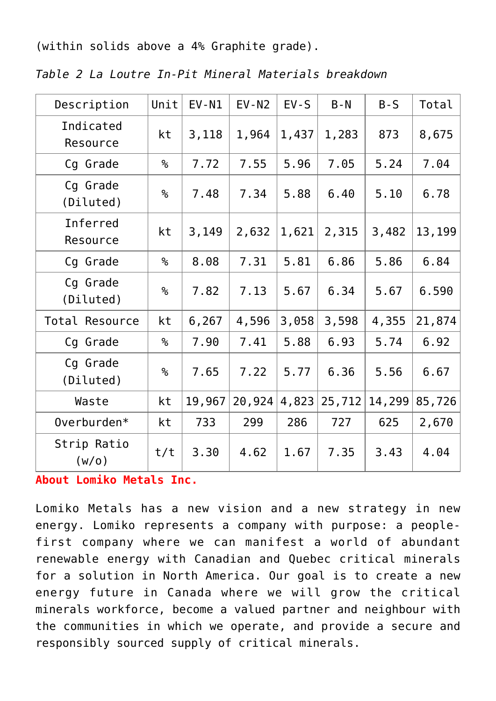(within solids above a 4% Graphite grade).

*Table 2 La Loutre In-Pit Mineral Materials breakdown*

| Description                 | Unit | $EV- N1$ | $EV- N2$ | $EV-S$ | $B - N$ | $B-S$  | Total  |
|-----------------------------|------|----------|----------|--------|---------|--------|--------|
| Indicated<br>Resource       | kt   | 3,118    | 1,964    | 1,437  | 1,283   | 873    | 8,675  |
| Cg Grade                    | ℅    | 7.72     | 7.55     | 5.96   | 7.05    | 5.24   | 7.04   |
| Cg Grade<br>(Diluted)       | ℅    | 7.48     | 7.34     | 5.88   | 6.40    | 5.10   | 6.78   |
| <b>Inferred</b><br>Resource | kt   | 3,149    | 2,632    | 1,621  | 2,315   | 3,482  | 13,199 |
| Cg Grade                    | ℅    | 8.08     | 7.31     | 5.81   | 6.86    | 5.86   | 6.84   |
| Cq Grade<br>(Diluted)       | ℅    | 7.82     | 7.13     | 5.67   | 6.34    | 5.67   | 6.590  |
| Total Resource              | kt   | 6,267    | 4,596    | 3,058  | 3,598   | 4,355  | 21,874 |
| Cg Grade                    | ℅    | 7.90     | 7.41     | 5.88   | 6.93    | 5.74   | 6.92   |
| Cg Grade<br>(Diluted)       | ℅    | 7.65     | 7.22     | 5.77   | 6.36    | 5.56   | 6.67   |
| Waste                       | kt   | 19,967   | 20,924   | 4,823  | 25,712  | 14,299 | 85,726 |
| Overburden*                 | kt   | 733      | 299      | 286    | 727     | 625    | 2,670  |
| Strip Ratio<br>(w/o)        | t/t  | 3.30     | 4.62     | 1.67   | 7.35    | 3.43   | 4.04   |

**About Lomiko Metals Inc.**

Lomiko Metals has a new vision and a new strategy in new energy. Lomiko represents a company with purpose: a peoplefirst company where we can manifest a world of abundant renewable energy with Canadian and Quebec critical minerals for a solution in North America. Our goal is to create a new energy future in Canada where we will grow the critical minerals workforce, become a valued partner and neighbour with the communities in which we operate, and provide a secure and responsibly sourced supply of critical minerals.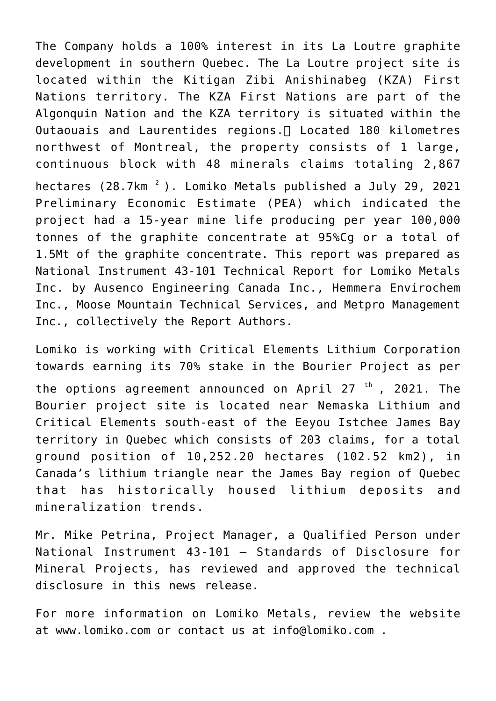The Company holds a 100% interest in its La Loutre graphite development in southern Quebec. The La Loutre project site is located within the Kitigan Zibi Anishinabeg (KZA) First Nations territory. The KZA First Nations are part of the Algonquin Nation and the KZA territory is situated within the Outaouais and Laurentides regions. Located 180 kilometres northwest of Montreal, the property consists of 1 large, continuous block with 48 minerals claims totaling 2,867 hectares  $(28.7 \text{km}^2)$ . Lomiko Metals published a [July 29, 2021](https://cts.businesswire.com/ct/CT?id=smartlink&url=https%3A%2F%2Fna01.safelinks.protection.outlook.com%2F%3Furl%3Dhttps%253A%252F%252Flomiko.com%252Fwp-content%252Fuploads%252F2021%252F09%252FPEA-La-Loutre-2021-09-10.pdf%26data%3D04%257C01%257C%257C1db76b3358224b7bd34508d9bfd8155c%257C84df9e7fe9f640afb435aaaaaaaaaaaa%257C1%257C0%257C637751757078467604%257CUnknown%257CTWFpbGZsb3d8eyJWIjoiMC4wLjAwMDAiLCJQIjoiV2luMzIiLCJBTiI6Ik1haWwiLCJXVCI6Mn0%253D%257C3000%26sdata%3D3DvW1At0cUJlfwE2awinozlxa1BLnQ4mPvCOcJ6aJOo%253D%26reserved%3D0&esheet=52693924&newsitemid=20220422005152&lan=en-US&anchor=July+29%2C+2021+Preliminary+Economic+Estimate+%28PEA%29&index=2&md5=d278f498ce5a7e8ed53afc7b3d311f32) [Preliminary Economic Estimate \(PEA\)](https://cts.businesswire.com/ct/CT?id=smartlink&url=https%3A%2F%2Fna01.safelinks.protection.outlook.com%2F%3Furl%3Dhttps%253A%252F%252Flomiko.com%252Fwp-content%252Fuploads%252F2021%252F09%252FPEA-La-Loutre-2021-09-10.pdf%26data%3D04%257C01%257C%257C1db76b3358224b7bd34508d9bfd8155c%257C84df9e7fe9f640afb435aaaaaaaaaaaa%257C1%257C0%257C637751757078467604%257CUnknown%257CTWFpbGZsb3d8eyJWIjoiMC4wLjAwMDAiLCJQIjoiV2luMzIiLCJBTiI6Ik1haWwiLCJXVCI6Mn0%253D%257C3000%26sdata%3D3DvW1At0cUJlfwE2awinozlxa1BLnQ4mPvCOcJ6aJOo%253D%26reserved%3D0&esheet=52693924&newsitemid=20220422005152&lan=en-US&anchor=July+29%2C+2021+Preliminary+Economic+Estimate+%28PEA%29&index=2&md5=d278f498ce5a7e8ed53afc7b3d311f32) which indicated the project had a 15-year mine life producing per year 100,000 tonnes of the graphite concentrate at 95%Cg or a total of 1.5Mt of the graphite concentrate. This report was prepared as National Instrument 43-101 Technical Report for Lomiko Metals Inc. by Ausenco Engineering Canada Inc., Hemmera Envirochem Inc., Moose Mountain Technical Services, and Metpro Management Inc., collectively the Report Authors.

Lomiko is working with Critical Elements Lithium Corporation towards earning its 70% stake in the Bourier Project as per the options agreement announced on April 27  $<sup>th</sup>$ , 2021. The</sup> Bourier project site is located near Nemaska Lithium and Critical Elements south-east of the Eeyou Istchee James Bay territory in Quebec which consists of 203 claims, for a total ground position of 10,252.20 hectares (102.52 km2), in Canada's lithium triangle near the James Bay region of Quebec that has historically housed lithium deposits and mineralization trends.

Mr. Mike Petrina, Project Manager, a Qualified Person under National Instrument 43-101 – Standards of Disclosure for Mineral Projects, has reviewed and approved the technical disclosure in this news release.

For more information on Lomiko Metals, review the website at [www.lomiko.com o](https://cts.businesswire.com/ct/CT?id=smartlink&url=http%3A%2F%2Fwww.lomiko.com&esheet=52693924&newsitemid=20220422005152&lan=en-US&anchor=www.lomiko.com&index=3&md5=029453d7e811b815de55acf31e2ad94b)r contact us at [info@lomiko.com .](mailto:info@lomiko.com)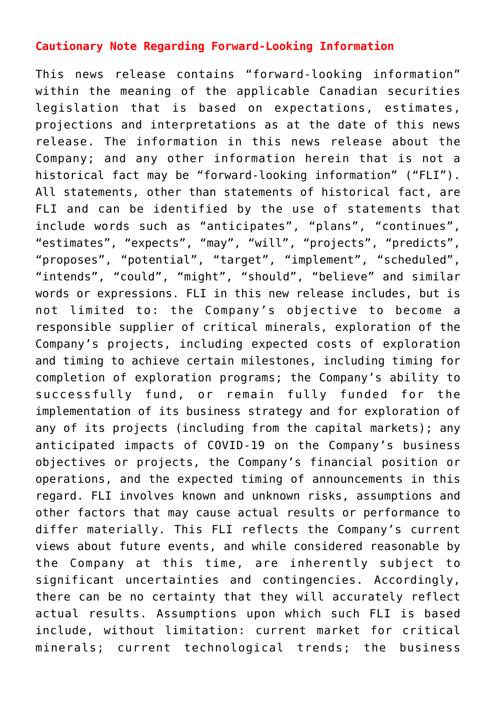## **Cautionary Note Regarding Forward-Looking Information**

This news release contains "forward-looking information" within the meaning of the applicable Canadian securities legislation that is based on expectations, estimates, projections and interpretations as at the date of this news release. The information in this news release about the Company; and any other information herein that is not a historical fact may be "forward-looking information" ("FLI"). All statements, other than statements of historical fact, are FLI and can be identified by the use of statements that include words such as "anticipates", "plans", "continues", "estimates", "expects", "may", "will", "projects", "predicts", "proposes", "potential", "target", "implement", "scheduled", "intends", "could", "might", "should", "believe" and similar words or expressions. FLI in this new release includes, but is not limited to: the Company's objective to become a responsible supplier of critical minerals, exploration of the Company's projects, including expected costs of exploration and timing to achieve certain milestones, including timing for completion of exploration programs; the Company's ability to successfully fund, or remain fully funded for the implementation of its business strategy and for exploration of any of its projects (including from the capital markets); any anticipated impacts of COVID-19 on the Company's business objectives or projects, the Company's financial position or operations, and the expected timing of announcements in this regard. FLI involves known and unknown risks, assumptions and other factors that may cause actual results or performance to differ materially. This FLI reflects the Company's current views about future events, and while considered reasonable by the Company at this time, are inherently subject to significant uncertainties and contingencies. Accordingly, there can be no certainty that they will accurately reflect actual results. Assumptions upon which such FLI is based include, without limitation: current market for critical minerals; current technological trends; the business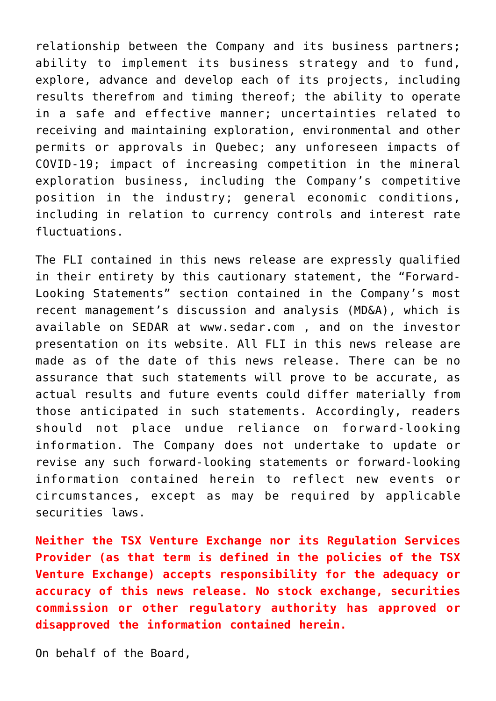relationship between the Company and its business partners; ability to implement its business strategy and to fund, explore, advance and develop each of its projects, including results therefrom and timing thereof; the ability to operate in a safe and effective manner; uncertainties related to receiving and maintaining exploration, environmental and other permits or approvals in Quebec; any unforeseen impacts of COVID-19; impact of increasing competition in the mineral exploration business, including the Company's competitive position in the industry; general economic conditions, including in relation to currency controls and interest rate fluctuations.

The FLI contained in this news release are expressly qualified in their entirety by this cautionary statement, the "Forward-Looking Statements" section contained in the Company's most recent management's discussion and analysis (MD&A), which is available on SEDAR at [www.sedar.com](https://cts.businesswire.com/ct/CT?id=smartlink&url=http%3A%2F%2Fwww.sedar.com&esheet=52693924&newsitemid=20220422005152&lan=en-US&anchor=www.sedar.com&index=4&md5=36f90c9196178e8d05c2cabefa849420) , and on the investor presentation on its website. All FLI in this news release are made as of the date of this news release. There can be no assurance that such statements will prove to be accurate, as actual results and future events could differ materially from those anticipated in such statements. Accordingly, readers should not place undue reliance on forward-looking information. The Company does not undertake to update or revise any such forward-looking statements or forward-looking information contained herein to reflect new events or circumstances, except as may be required by applicable securities laws.

**Neither the TSX Venture Exchange nor its Regulation Services Provider (as that term is defined in the policies of the TSX Venture Exchange) accepts responsibility for the adequacy or accuracy of this news release. No stock exchange, securities commission or other regulatory authority has approved or disapproved the information contained herein.**

On behalf of the Board,